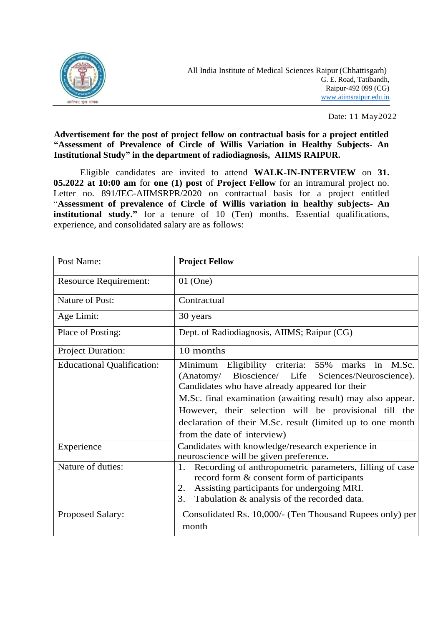

Date: 11 May2022

## **Advertisement for the post of project fellow on contractual basis for a project entitled "Assessment of Prevalence of Circle of Willis Variation in Healthy Subjects- An Institutional Study" in the department of radiodiagnosis, AIIMS RAIPUR.**

Eligible candidates are invited to attend **WALK-IN-INTERVIEW** on **31. 05.2022 at 10:00 am** for **one (1) post** of **Project Fellow** for an intramural project no. Letter no. 891/IEC-AIIMSRPR/2020 on contractual basis for a project entitled "**Assessment of prevalence o**f **Circle of Willis variation in healthy subjects- An institutional study."** for a tenure of 10 (Ten) months. Essential qualifications, experience, and consolidated salary are as follows:

| Post Name:                        | <b>Project Fellow</b>                                                                                                                                                                                                                                                                                                                                                        |
|-----------------------------------|------------------------------------------------------------------------------------------------------------------------------------------------------------------------------------------------------------------------------------------------------------------------------------------------------------------------------------------------------------------------------|
| <b>Resource Requirement:</b>      | $01$ (One)                                                                                                                                                                                                                                                                                                                                                                   |
| Nature of Post:                   | Contractual                                                                                                                                                                                                                                                                                                                                                                  |
| Age Limit:                        | 30 years                                                                                                                                                                                                                                                                                                                                                                     |
| Place of Posting:                 | Dept. of Radiodiagnosis, AIIMS; Raipur (CG)                                                                                                                                                                                                                                                                                                                                  |
| <b>Project Duration:</b>          | 10 months                                                                                                                                                                                                                                                                                                                                                                    |
| <b>Educational Qualification:</b> | Minimum Eligibility criteria: 55% marks in M.Sc.<br>(Anatomy/ Bioscience/ Life Sciences/Neuroscience).<br>Candidates who have already appeared for their<br>M.Sc. final examination (awaiting result) may also appear.<br>However, their selection will be provisional till the<br>declaration of their M.Sc. result (limited up to one month<br>from the date of interview) |
| Experience                        | Candidates with knowledge/research experience in<br>neuroscience will be given preference.                                                                                                                                                                                                                                                                                   |
| Nature of duties:                 | Recording of anthropometric parameters, filling of case<br>1.<br>record form & consent form of participants<br>Assisting participants for undergoing MRI.<br>2.<br>3.<br>Tabulation & analysis of the recorded data.                                                                                                                                                         |
| <b>Proposed Salary:</b>           | Consolidated Rs. 10,000/- (Ten Thousand Rupees only) per<br>month                                                                                                                                                                                                                                                                                                            |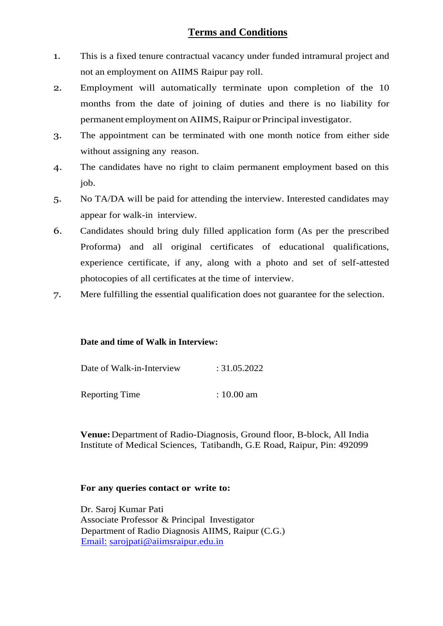# **Terms and Conditions**

- 1. This is a fixed tenure contractual vacancy under funded intramural project and not an employment on AIIMS Raipur pay roll.
- 2. Employment will automatically terminate upon completion of the 10 months from the date of joining of duties and there is no liability for permanent employment on AIIMS,Raipur or Principal investigator.
- 3. The appointment can be terminated with one month notice from either side without assigning any reason.
- 4. The candidates have no right to claim permanent employment based on this job.
- 5. No TA/DA will be paid for attending the interview. Interested candidates may appear for walk-in interview.
- 6. Candidates should bring duly filled application form (As per the prescribed Proforma) and all original certificates of educational qualifications, experience certificate, if any, along with a photo and set of self-attested photocopies of all certificates at the time of interview.
- 7. Mere fulfilling the essential qualification does not guarantee for the selection.

## **Date and time of Walk in Interview:**

| Date of Walk-in-Interview | : 31.05.2022 |
|---------------------------|--------------|
| <b>Reporting Time</b>     | $: 10.00$ am |

**Venue:**Department of Radio-Diagnosis, Ground floor, B-block, All India Institute of Medical Sciences, Tatibandh, G.E Road, Raipur, Pin: 492099

#### **For any queries contact or write to:**

Dr. Saroj Kumar Pati Associate Professor & Principal Investigator Department of Radio Diagnosis AIIMS, Raipur (C.G.) [Email:](mailto:Email:) [sarojpati@aiimsraipur.edu.in](mailto:sarojpati@aiimsraipur.edu.in)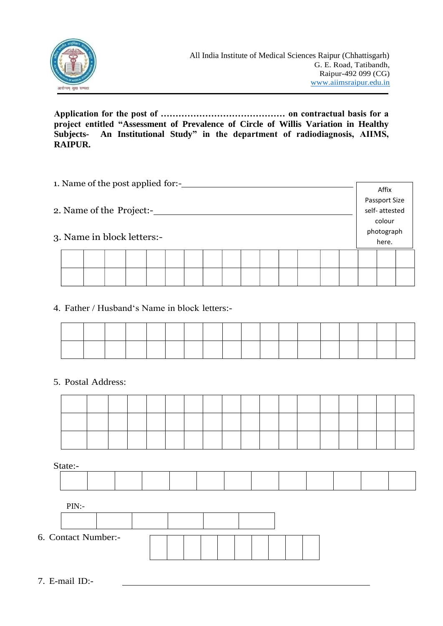

**Application for the post of …………………………………… on contractual basis for a project entitled "Assessment of Prevalence of Circle of Willis Variation in Healthy Subjects- An Institutional Study" in the department of radiodiagnosis, AIIMS, RAIPUR.**

|                            | 1. Name of the post applied for:- |  |  |  |  |  |  |  |  |  |  |               |  |            |               | Affix |  |
|----------------------------|-----------------------------------|--|--|--|--|--|--|--|--|--|--|---------------|--|------------|---------------|-------|--|
|                            |                                   |  |  |  |  |  |  |  |  |  |  |               |  |            | Passport Size |       |  |
| 2. Name of the Project:-   |                                   |  |  |  |  |  |  |  |  |  |  | self-attested |  |            |               |       |  |
|                            |                                   |  |  |  |  |  |  |  |  |  |  |               |  | colour     |               |       |  |
| 3. Name in block letters:- |                                   |  |  |  |  |  |  |  |  |  |  |               |  | photograph |               |       |  |
|                            |                                   |  |  |  |  |  |  |  |  |  |  |               |  |            |               | here. |  |
|                            |                                   |  |  |  |  |  |  |  |  |  |  |               |  |            |               |       |  |
|                            |                                   |  |  |  |  |  |  |  |  |  |  |               |  |            |               |       |  |
|                            |                                   |  |  |  |  |  |  |  |  |  |  |               |  |            |               |       |  |
|                            |                                   |  |  |  |  |  |  |  |  |  |  |               |  |            |               |       |  |

## 4. Father / Husband's Name in block letters:-

#### 5. Postal Address:

State:-

PIN:-

6. Contact Number:-

7. E-mail ID:-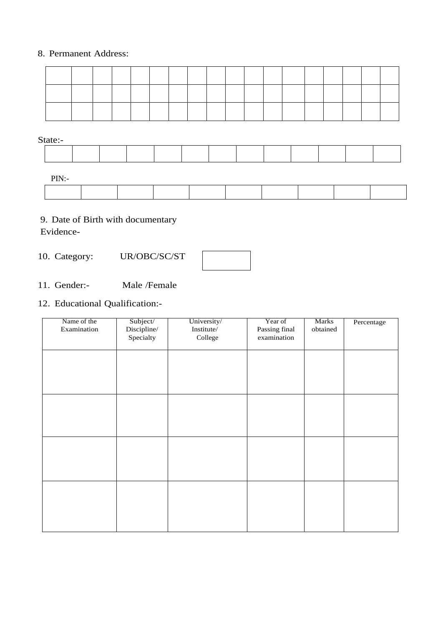## 8. Permanent Address:

| State:- |  |  |  |  |  |  |  |  |  |  |  |  |  |  |
|---------|--|--|--|--|--|--|--|--|--|--|--|--|--|--|
|         |  |  |  |  |  |  |  |  |  |  |  |  |  |  |
| PIN:    |  |  |  |  |  |  |  |  |  |  |  |  |  |  |

# 9. Date of Birth with documentary

Evidence-

10. Category: UR/OBC/SC/ST



11. Gender:- Male /Female

## 12. Educational Qualification:-

| Name of the<br>Examination | Subject/<br>Discipline/<br>Specialty | University/<br>$Institute/$<br>College | Year of<br>Passing final<br>examination | Marks<br>obtained | Percentage |
|----------------------------|--------------------------------------|----------------------------------------|-----------------------------------------|-------------------|------------|
|                            |                                      |                                        |                                         |                   |            |
|                            |                                      |                                        |                                         |                   |            |
|                            |                                      |                                        |                                         |                   |            |
|                            |                                      |                                        |                                         |                   |            |